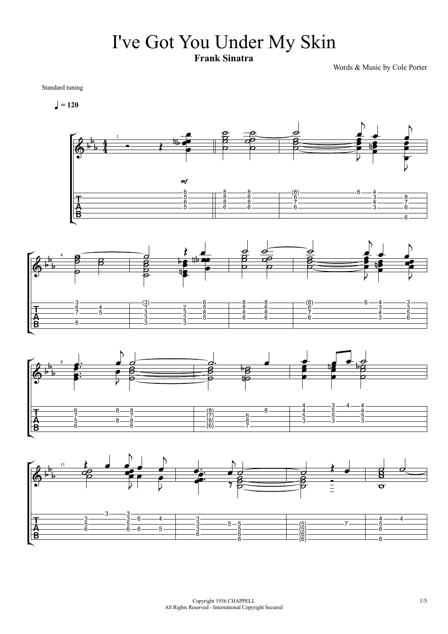Words & Music by Cole Porter

Standard tuning

$$
\blacksquare = 120
$$



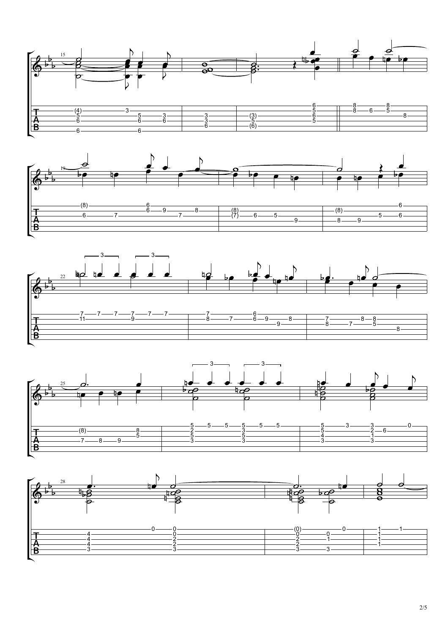







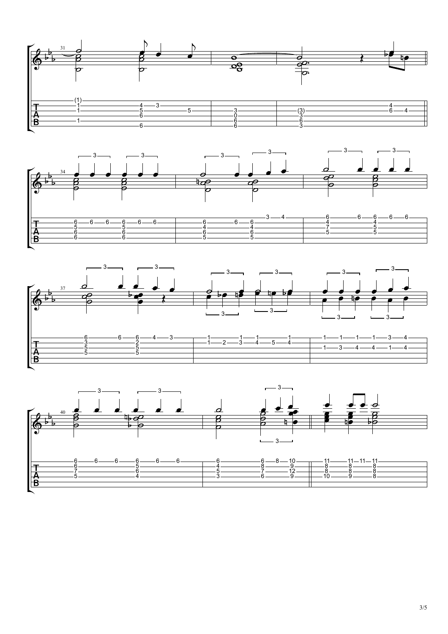





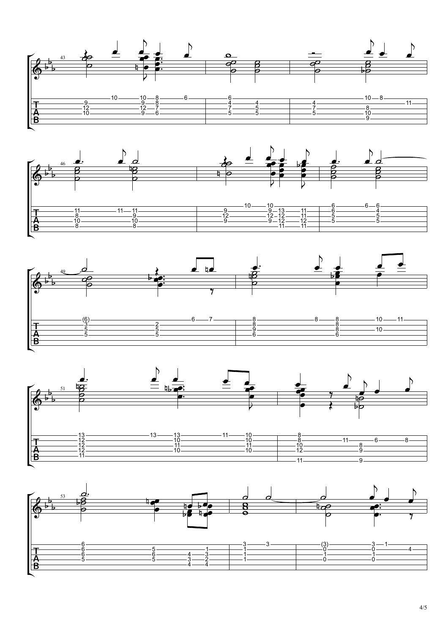